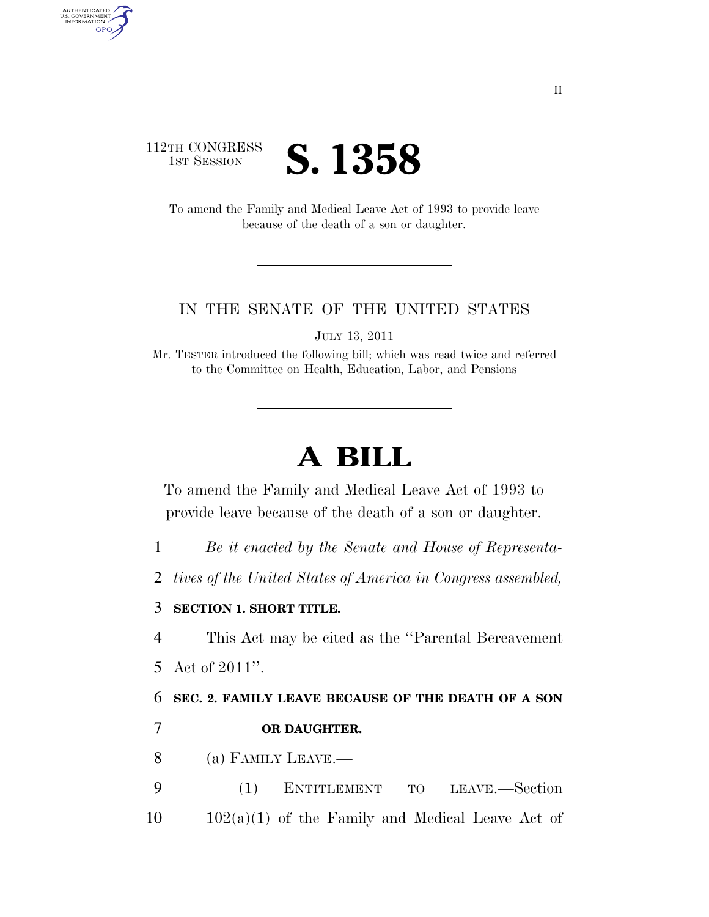## 112TH CONGRESS **IST SESSION S. 1358**

AUTHENTICATED<br>U.S. GOVERNMENT<br>INFORMATION GPO

> To amend the Family and Medical Leave Act of 1993 to provide leave because of the death of a son or daughter.

## IN THE SENATE OF THE UNITED STATES

JULY 13, 2011

Mr. TESTER introduced the following bill; which was read twice and referred to the Committee on Health, Education, Labor, and Pensions

## **A BILL**

To amend the Family and Medical Leave Act of 1993 to provide leave because of the death of a son or daughter.

1 *Be it enacted by the Senate and House of Representa-*

2 *tives of the United States of America in Congress assembled,* 

## 3 **SECTION 1. SHORT TITLE.**

4 This Act may be cited as the ''Parental Bereavement

5 Act of 2011''.

6 **SEC. 2. FAMILY LEAVE BECAUSE OF THE DEATH OF A SON**  7 **OR DAUGHTER.** 

- 8 (a) FAMILY LEAVE.—
- 9 (1) ENTITLEMENT TO LEAVE.—Section  $10 \qquad 102(a)(1)$  of the Family and Medical Leave Act of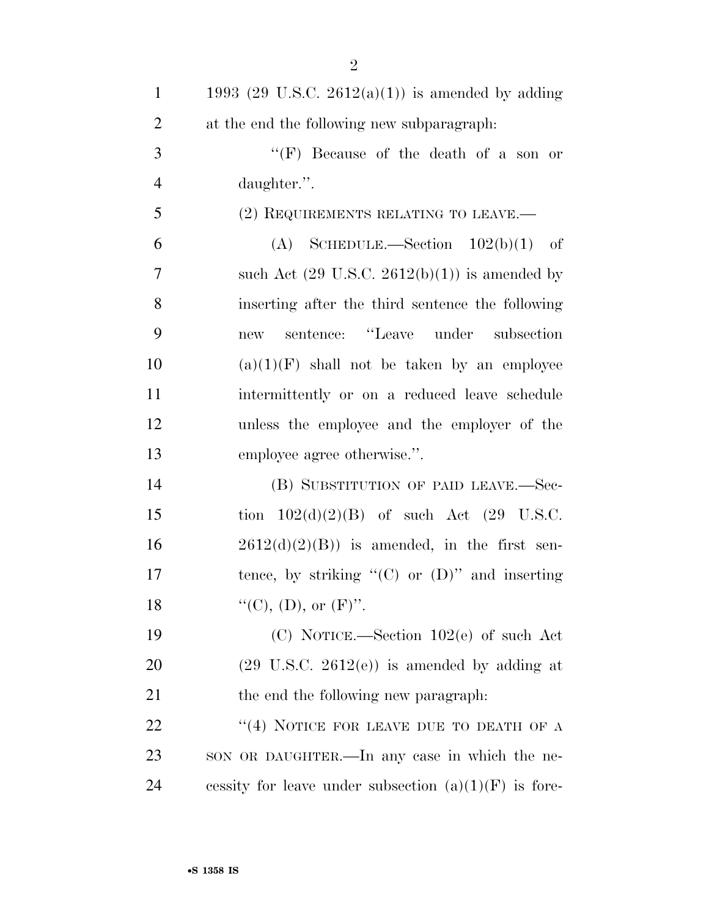| $\mathbf{1}$   | 1993 (29 U.S.C. 2612(a)(1)) is amended by adding         |
|----------------|----------------------------------------------------------|
| $\overline{2}$ | at the end the following new subparagraph:               |
| 3              | "(F) Because of the death of a son or                    |
| $\overline{4}$ | daughter.".                                              |
| 5              | (2) REQUIREMENTS RELATING TO LEAVE.—                     |
| 6              | (A) SCHEDULE.—Section $102(b)(1)$ of                     |
| $\overline{7}$ | such Act $(29 \text{ U.S.C. } 2612(b)(1))$ is amended by |
| 8              | inserting after the third sentence the following         |
| 9              | sentence: "Leave under subsection<br>new                 |
| 10             | $(a)(1)(F)$ shall not be taken by an employee            |
| 11             | intermittently or on a reduced leave schedule            |
| 12             | unless the employee and the employer of the              |
| 13             | employee agree otherwise.".                              |
| 14             | (B) SUBSTITUTION OF PAID LEAVE.—Sec-                     |
| 15             | tion $102(d)(2)(B)$ of such Act $(29 \text{ U.S.C.})$    |
| 16             | $2612(d)(2)(B)$ is amended, in the first sen-            |
| 17             | tence, by striking " $(C)$ or $(D)$ " and inserting      |
| 18             | "(C), (D), or $(F)$ ".                                   |
| 19             | (C) NOTICE.—Section $102(e)$ of such Act                 |
| 20             | $(29 \text{ U.S.C. } 2612(e))$ is amended by adding at   |
| 21             | the end the following new paragraph.                     |
| 22             | "(4) NOTICE FOR LEAVE DUE TO DEATH OF A                  |
| 23             | SON OR DAUGHTER.—In any case in which the ne-            |
| 24             | cessity for leave under subsection $(a)(1)(F)$ is fore-  |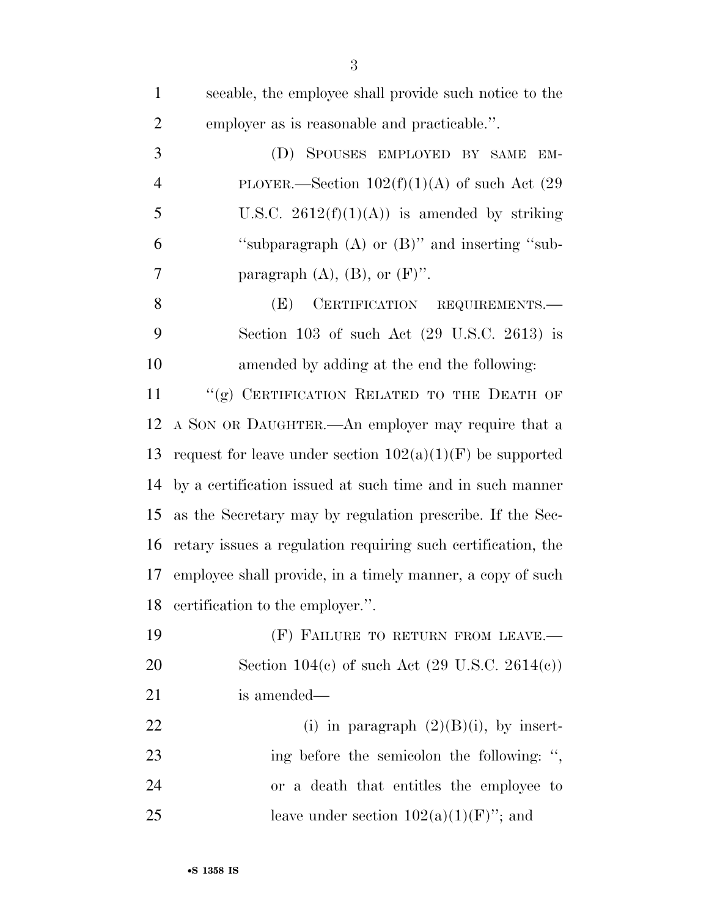| $\mathbf{1}$   | seeable, the employee shall provide such notice to the       |
|----------------|--------------------------------------------------------------|
| $\overline{2}$ | employer as is reasonable and practicable.".                 |
| 3              | SPOUSES EMPLOYED BY SAME<br>(D)<br>EM-                       |
| $\overline{4}$ | PLOYER.—Section $102(f)(1)(A)$ of such Act (29)              |
| 5              | U.S.C. $2612(f)(1)(A)$ is amended by striking                |
| 6              | "subparagraph (A) or (B)" and inserting "sub-                |
| $\overline{7}$ | paragraph $(A)$ , $(B)$ , or $(F)$ ".                        |
| 8              | CERTIFICATION REQUIREMENTS.<br>(E)                           |
| 9              | Section 103 of such Act $(29 \text{ U.S.C. } 2613)$ is       |
| 10             | amended by adding at the end the following:                  |
| 11             | "(g) CERTIFICATION RELATED TO THE DEATH OF                   |
| 12             | A SON OR DAUGHTER.—An employer may require that a            |
| 13             | request for leave under section $102(a)(1)(F)$ be supported  |
| 14             | by a certification issued at such time and in such manner    |
| 15             | as the Secretary may by regulation prescribe. If the Sec-    |
| 16             | retary issues a regulation requiring such certification, the |
| 17             | employee shall provide, in a timely manner, a copy of such   |
| 18             | certification to the employer.".                             |
| 19             | (F) FAILURE TO RETURN FROM LEAVE.-                           |
| <b>20</b>      | Section 104(c) of such Act $(29 \text{ U.S.C. } 2614(c))$    |
| 21             | is amended—                                                  |
| 22             | (i) in paragraph $(2)(B)(i)$ , by insert-                    |
| 23             | ing before the semicolon the following: ",                   |
| 24             | or a death that entitles the employee to                     |
| 25             | leave under section $102(a)(1)(F)$ "; and                    |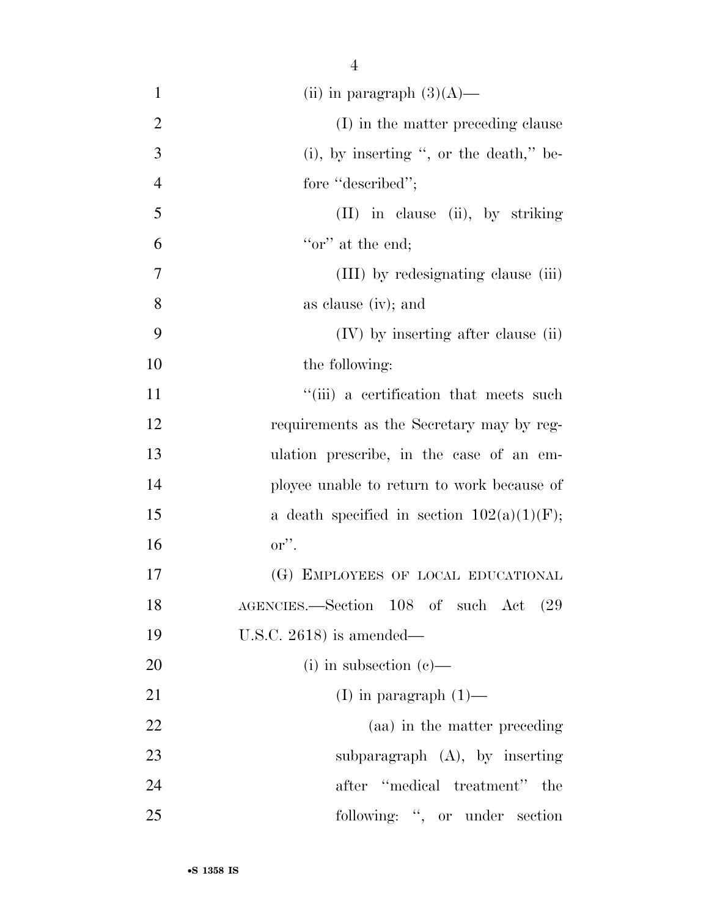| $\mathbf{1}$   | (ii) in paragraph $(3)(A)$ —                  |
|----------------|-----------------------------------------------|
| $\overline{2}$ | (I) in the matter preceding clause            |
| 3              | (i), by inserting ", or the death," be-       |
| $\overline{4}$ | fore "described";                             |
| 5              | $(II)$ in clause (ii), by striking            |
| 6              | "or" at the end;                              |
| 7              | (III) by redesignating clause (iii)           |
| 8              | as clause (iv); and                           |
| 9              | (IV) by inserting after clause (ii)           |
| 10             | the following:                                |
| 11             | "(iii) a certification that meets such        |
| 12             | requirements as the Secretary may by reg-     |
| 13             | ulation prescribe, in the case of an em-      |
| 14             | ployee unable to return to work because of    |
| 15             | a death specified in section $102(a)(1)(F)$ ; |
| 16             | $\mathbf{or}''$ .                             |
| 17             | (G) EMPLOYEES OF LOCAL EDUCATIONAL            |
| 18             | AGENCIES.—Section 108 of such Act (29         |
| 19             | U.S.C. $2618$ ) is amended—                   |
| 20             | $(i)$ in subsection $(e)$ —                   |
| 21             | (I) in paragraph $(1)$ —                      |
| 22             | (aa) in the matter preceding                  |
| 23             | subparagraph $(A)$ , by inserting             |
| 24             | after "medical treatment"<br>the              |
|                |                                               |

25 following: ", or under section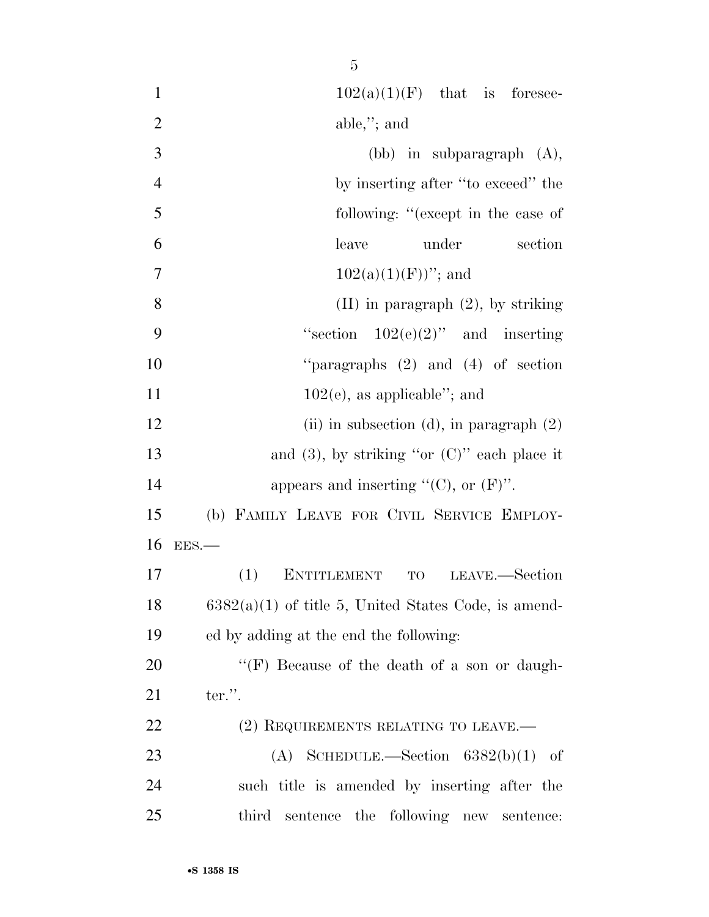| $\mathbf{1}$   | $102(a)(1)(F)$ that is foresee-                            |
|----------------|------------------------------------------------------------|
| $\overline{2}$ | $able$ ,"; and                                             |
| 3              | (bb) in subparagraph $(A)$ ,                               |
| $\overline{4}$ | by inserting after "to exceed" the                         |
| 5              | following: "(except in the case of                         |
| 6              | leave<br>under<br>section                                  |
| $\overline{7}$ | $102(a)(1)(F)$ "; and                                      |
| 8              | $(II)$ in paragraph $(2)$ , by striking                    |
| 9              | "section $102(e)(2)$ " and inserting                       |
| 10             | "paragraphs $(2)$ and $(4)$ of section                     |
| 11             | $102(e)$ , as applicable"; and                             |
| 12             | (ii) in subsection (d), in paragraph $(2)$                 |
| 13             | and $(3)$ , by striking "or $(C)$ " each place it          |
| 14             | appears and inserting " $(C)$ , or $(F)$ ".                |
| 15             | (b) FAMILY LEAVE FOR CIVIL SERVICE EMPLOY-                 |
| 16             | EES.                                                       |
| 17             | (1)<br>LEAVE.—Section<br><b>ENTITLEMENT</b><br>$_{\rm TO}$ |
| 18             | $6382(a)(1)$ of title 5, United States Code, is amend-     |
| 19             | ed by adding at the end the following:                     |
| <b>20</b>      | "(F) Because of the death of a son or daugh-               |
| 21             | ter.".                                                     |
| <u>22</u>      | (2) REQUIREMENTS RELATING TO LEAVE.—                       |
| 23             | SCHEDULE.—Section $6382(b)(1)$ of<br>(A)                   |
| 24             | such title is amended by inserting after the               |
| 25             | third sentence the following new sentence:                 |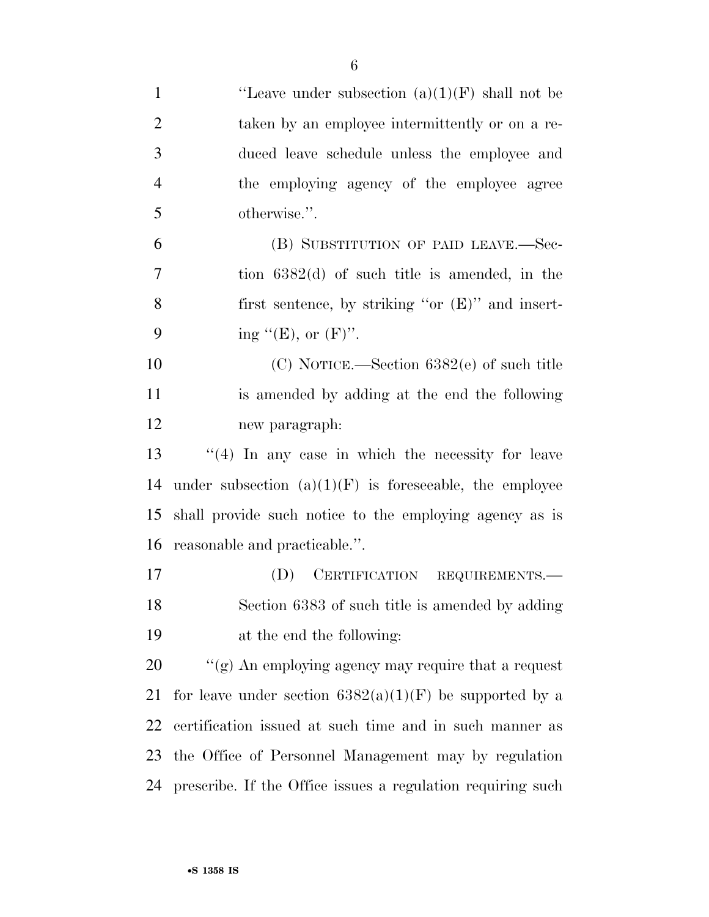| $\mathbf{1}$   | "Leave under subsection $(a)(1)(F)$ shall not be            |
|----------------|-------------------------------------------------------------|
| $\overline{2}$ | taken by an employee intermittently or on a re-             |
| 3              | duced leave schedule unless the employee and                |
| $\overline{4}$ | the employing agency of the employee agree                  |
| 5              | otherwise.".                                                |
| 6              | (B) SUBSTITUTION OF PAID LEAVE.-Sec-                        |
| 7              | tion $6382(d)$ of such title is amended, in the             |
| 8              | first sentence, by striking "or $(E)$ " and insert-         |
| 9              | ing " $(E)$ , or $(F)$ ".                                   |
| 10             | $(C)$ NOTICE.—Section 6382 $(e)$ of such title              |
| 11             | is amended by adding at the end the following               |
| 12             | new paragraph:                                              |
| 13             | $(4)$ In any case in which the necessity for leave          |
| 14             | under subsection $(a)(1)(F)$ is foreseeable, the employee   |
| 15             | shall provide such notice to the employing agency as is     |
| 16             | reasonable and practicable.".                               |
| 17             | (D) CERTIFICATION REQUIREMENTS.-                            |
| 18             | Section 6383 of such title is amended by adding             |
| 19             | at the end the following:                                   |
| 20             | " $(g)$ An employing agency may require that a request      |
| 21             | for leave under section $6382(a)(1)(F)$ be supported by a   |
| 22             | certification issued at such time and in such manner as     |
| 23             | the Office of Personnel Management may by regulation        |
| 24             | prescribe. If the Office issues a regulation requiring such |